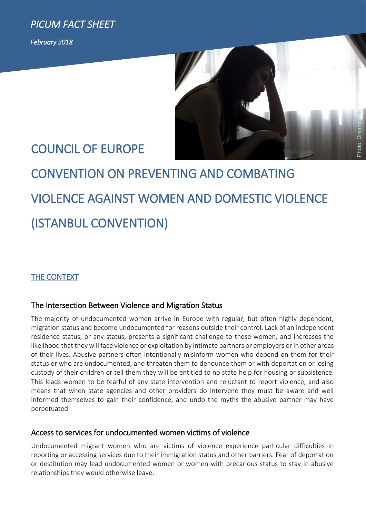*PICUM FACT SHEET* 

*February 2018* 



## COUNCIL OF EUROPE

# CONVENTION ON PREVENTING AND COMBATING VIOLENCE AGAINST WOMEN AND DOMESTIC VIOLENCE (ISTANBUL CONVENTION)

### THE CONTEXT

#### The Intersection Between Violence and Migration Status

The majority of undocumented women arrive in Europe with regular, but often highly dependent, migration status and become undocumented for reasons outside their control. Lack of an independent residence status, or any status, presents a significant challenge to these women, and increases the likelihood that they will face violence or exploitation by intimate partners or employers or in other areas of their lives. Abusive partners often intentionally misinform women who depend on them for their status or who are undocumented, and threaten them to denounce them or with deportation or losing custody of their children or tell them they will be entitled to no state help for housing or subsistence. This leads women to be fearful of any state intervention and reluctant to report violence, and also means that when state agencies and other providers do intervene they must be aware and well informed themselves to gain their confidence, and undo the myths the abusive partner may have perpetuated.

#### Access to services for undocumented women victims of violence

Undocumented migrant women who are victims of violence experience particular difficulties in reporting or accessing services due to their immigration status and other barriers. Fear of deportation or destitution may lead undocumented women or women with precarious status to stay in abusive relationships they would otherwise leave.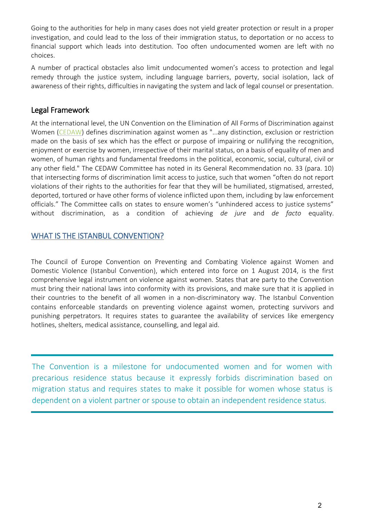Going to the authorities for help in many cases does not yield greater protection or result in a proper investigation, and could lead to the loss of their immigration status, to deportation or no access to financial support which leads into destitution. Too often undocumented women are left with no choices.

A number of practical obstacles also limit undocumented women's access to protection and legal remedy through the justice system, including language barriers, poverty, social isolation, lack of awareness of their rights, difficulties in navigating the system and lack of legal counsel or presentation.

#### Legal Framework

At the international level, the UN Convention on the Elimination of All Forms of Discrimination against Women [\(CEDAW\)](http://www.un.org/womenwatch/daw/cedaw/) defines discrimination against women as "...any distinction, exclusion or restriction made on the basis of sex which has the effect or purpose of impairing or nullifying the recognition, enjoyment or exercise by women, irrespective of their marital status, on a basis of equality of men and women, of human rights and fundamental freedoms in the political, economic, social, cultural, civil or any other field." The CEDAW Committee has noted in its General Recommendation no. 33 (para. 10) that intersecting forms of discrimination limit access to justice, such that women "often do not report violations of their rights to the authorities for fear that they will be humiliated, stigmatised, arrested, deported, tortured or have other forms of violence inflicted upon them, including by law enforcement officials." The Committee calls on states to ensure women's "unhindered access to justice systems" without discrimination, as a condition of achieving *de jure* and *de facto* equality.

#### WHAT IS THE ISTANBUL CONVENTION?

The Council of Europe Convention on Preventing and Combating Violence against Women and Domestic Violence (Istanbul Convention), which entered into force on 1 August 2014, is the first comprehensive legal instrument on violence against women. States that are party to the Convention must bring their national laws into conformity with its provisions, and make sure that it is applied in their countries to the benefit of all women in a non-discriminatory way. The Istanbul Convention contains enforceable standards on preventing violence against women, protecting survivors and punishing perpetrators. It requires states to guarantee the availability of services like emergency hotlines, shelters, medical assistance, counselling, and legal aid.

The Convention is a milestone for undocumented women and for women with precarious residence status because it expressly forbids discrimination based on migration status and requires states to make it possible for women whose status is dependent on a violent partner or spouse to obtain an independent residence status.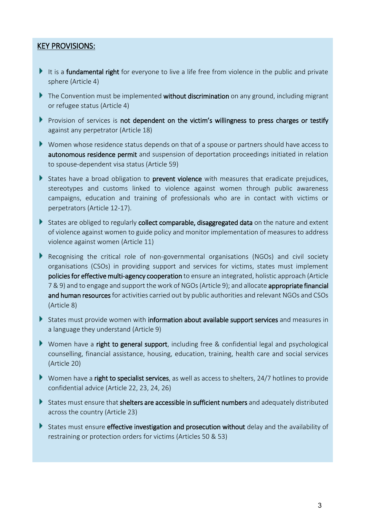#### KEY PROVISIONS:

- It is a fundamental right for everyone to live a life free from violence in the public and private sphere (Article 4)
- The Convention must be implemented without discrimination on any ground, including migrant or refugee status (Article 4)
- Provision of services is not dependent on the victim's willingness to press charges or testify against any perpetrator (Article 18)
- Women whose residence status depends on that of a spouse or partners should have access to autonomous residence permit and suspension of deportation proceedings initiated in relation to spouse-dependent visa status (Article 59)
- States have a broad obligation to **prevent violence** with measures that eradicate prejudices, stereotypes and customs linked to violence against women through public awareness campaigns, education and training of professionals who are in contact with victims or perpetrators (Article 12-17).
- States are obliged to regularly collect comparable, disaggregated data on the nature and extent of violence against women to guide policy and monitor implementation of measures to address violence against women (Article 11)
- Recognising the critical role of non-governmental organisations (NGOs) and civil society organisations (CSOs) in providing support and services for victims, states must implement policies for effective multi-agency cooperation to ensure an integrated, holistic approach (Article 7 & 9) and to engage and support the work of NGOs (Article 9); and allocate appropriate financial and human resources for activities carried out by public authorities and relevant NGOs and CSOs (Article 8)
- States must provide women with information about available support services and measures in a language they understand (Article 9)
- Women have a right to general support, including free & confidential legal and psychological counselling, financial assistance, housing, education, training, health care and social services (Article 20)
- Women have a right to specialist services, as well as access to shelters,  $24/7$  hotlines to provide confidential advice (Article 22, 23, 24, 26)
- States must ensure that shelters are accessible in sufficient numbers and adequately distributed across the country (Article 23)
- States must ensure effective investigation and prosecution without delay and the availability of restraining or protection orders for victims (Articles 50 & 53)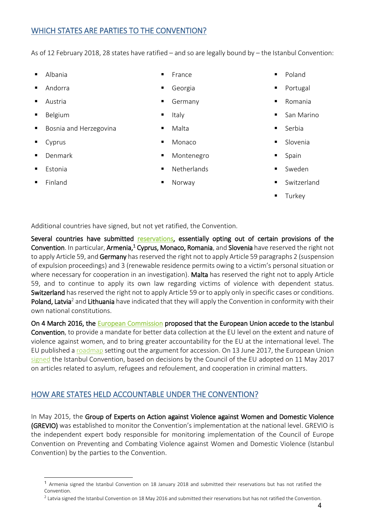#### WHICH STATES ARE PARTIES TO THE CONVENTION?

As of 12 February 2018, 28 states have ratified – and so are legally bound by – the Istanbul Convention:

- **Albania**
- Andorra
- Austria
- Belgium
- Bosnia and Herzegovina
- Cyprus
- Denmark
- **Estonia**
- **Finland**

1

- **France Georgia**
- Germany
- Italy
- Malta
- Monaco
- Montenegro
- **Netherlands**
- **Norway**
- **Poland**
- Portugal
- **Romania**
- San Marino
- Serbia
- Slovenia
- Spain
- **Sweden**
- Switzerland
- **Turkey**

Additional countries have signed, but not yet ratified, the Convention.

Several countries have submitted [reservations,](https://www.coe.int/en/web/conventions/full-list/-/conventions/treaty/210/declarations?p_auth=zCJotxqc) essentially opting out of certain provisions of the Convention. In particular, Armenia,<sup>1</sup> Cyprus, Monaco, Romania, and Slovenia have reserved the right not to apply Article 59, and Germany has reserved the right not to apply Article 59 paragraphs 2 (suspension of expulsion proceedings) and 3 (renewable residence permits owing to a victim's personal situation or where necessary for cooperation in an investigation). Malta has reserved the right not to apply Article 59, and to continue to apply its own law regarding victims of violence with dependent status. Switzerland has reserved the right not to apply Article 59 or to apply only in specific cases or conditions. Poland, Latvia<sup>2</sup> and Lithuania have indicated that they will apply the Convention in conformity with their own national constitutions.

On 4 March 2016, the [European Commission](http://europa.eu/rapid/press-release_IP-16-549_en.htm) proposed that the European Union accede to the Istanbul Convention, to provide a mandate for better data collection at the EU level on the extent and nature of violence against women, and to bring greater accountability for the EU at the international level. The EU published a [roadmap](http://ec.europa.eu/smart-regulation/roadmaps/docs/2015_just_010_istanbul_convention_en.pdf) setting out the argument for accession. On 13 June 2017, the European Union [signed](https://eeas.europa.eu/delegations/council-europe/28130/eu-signs-istanbul-convention-13-june-2017_en) the Istanbul Convention, based on decisions by the Council of the EU adopted on 11 May 2017 on articles related to asylum, refugees and refoulement, and cooperation in criminal matters.

#### HOW ARE STATES HELD ACCOUNTABLE UNDER THE CONVENTION?

In May 2015, the Group of Experts on Action against Violence against Women and Domestic Violence (GREVIO) was established to monitor the Convention's implementation at the national level. GREVIO is the independent expert body responsible for monitoring implementation of the Council of Europe Convention on Preventing and Combating Violence against Women and Domestic Violence (Istanbul Convention) by the parties to the Convention.

<sup>1</sup> Armenia signed the Istanbul Convention on 18 January 2018 and submitted their reservations but has not ratified the Convention.

 $^2$  Latvia signed the Istanbul Convention on 18 May 2016 and submitted their reservations but has not ratified the Convention.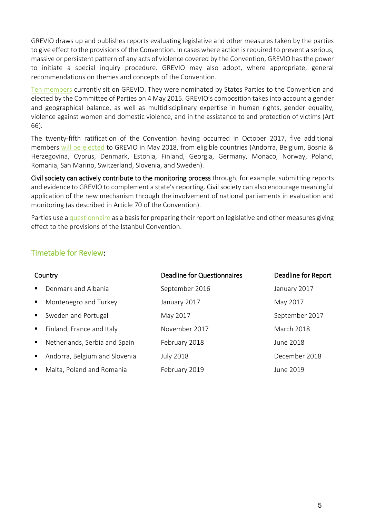GREVIO draws up and publishes reports evaluating legislative and other measures taken by the parties to give effect to the provisions of the Convention. In cases where action is required to prevent a serious, massive or persistent pattern of any acts of violence covered by the Convention, GREVIO has the power to initiate a special inquiry procedure. GREVIO may also adopt, where appropriate, general recommendations on themes and concepts of the Convention.

[Ten members](https://www.coe.int/en/web/istanbul-convention/members) currently sit on GREVIO. They were nominated by States Parties to the Convention and elected by the Committee of Parties on 4 May 2015. GREVIO's composition takes into account a gender and geographical balance, as well as multidisciplinary expertise in human rights, gender equality, violence against women and domestic violence, and in the assistance to and protection of victims (Art 66).

The twenty-fifth ratification of the Convention having occurred in October 2017, five additional members [will be elected](https://rm.coe.int/168046325b) to GREVIO in May 2018, from eligible countries (Andorra, Belgium, Bosnia & Herzegovina, Cyprus, Denmark, Estonia, Finland, Georgia, Germany, Monaco, Norway, Poland, Romania, San Marino, Switzerland, Slovenia, and Sweden).

Civil society can actively contribute to the monitoring process through, for example, submitting reports and evidence to GREVIO to complement a state's reporting. Civil society can also encourage meaningful application of the new mechanism through the involvement of national parliaments in evaluation and monitoring (as described in Article 70 of the Convention).

Parties use a [questionnaire](https://rm.coe.int/CoERMPublicCommonSearchServices/DisplayDCTMContent?documentId=09000016805c95b0) as a basis for preparing their report on legislative and other measures giving effect to the provisions of the Istanbul Convention.

#### [Timetable for Review:](https://rm.coe.int/provisional-timetable-evaluation-procedure-2016-2020/1680768428)

| Country        |                               | <b>Deadline for Questionnaires</b> | Deadline for Report |
|----------------|-------------------------------|------------------------------------|---------------------|
| $\blacksquare$ | Denmark and Albania           | September 2016                     | January 2017        |
| $\blacksquare$ | Montenegro and Turkey         | January 2017                       | May 2017            |
| $\blacksquare$ | Sweden and Portugal           | May 2017                           | September 2017      |
| $\blacksquare$ | Finland, France and Italy     | November 2017                      | <b>March 2018</b>   |
| $\blacksquare$ | Netherlands, Serbia and Spain | February 2018                      | June 2018           |
| ٠              | Andorra, Belgium and Slovenia | <b>July 2018</b>                   | December 2018       |
| ٠              | Malta, Poland and Romania     | February 2019                      | June 2019           |